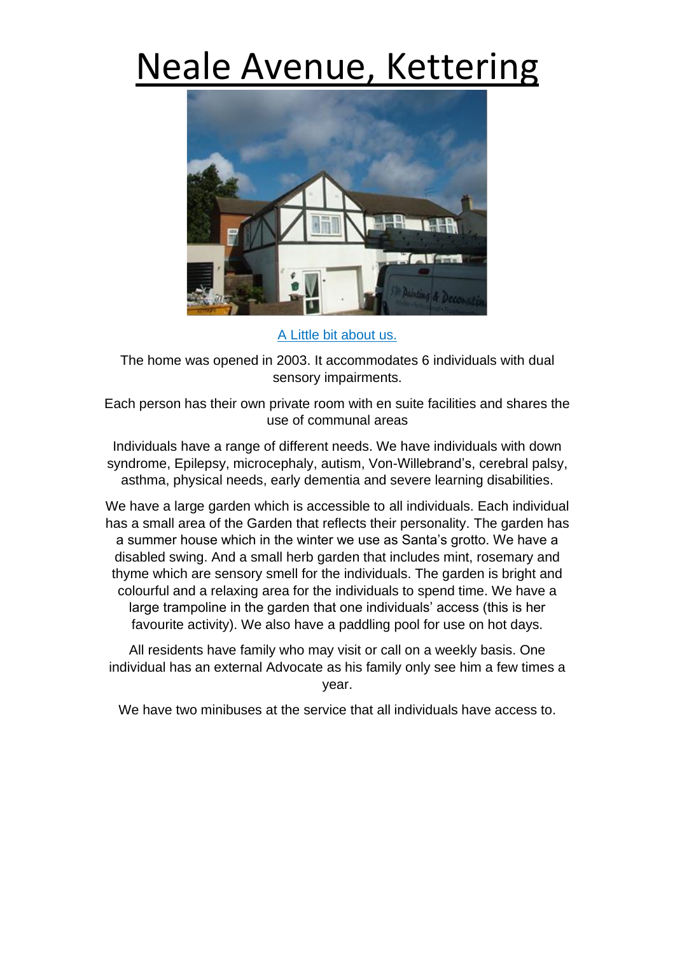## Neale Avenue, Kettering



A Little bit about us.

The home was opened in 2003. It accommodates 6 individuals with dual sensory impairments.

Each person has their own private room with en suite facilities and shares the use of communal areas

Individuals have a range of different needs. We have individuals with down syndrome, Epilepsy, microcephaly, autism, Von-Willebrand's, cerebral palsy, asthma, physical needs, early dementia and severe learning disabilities.

We have a large garden which is accessible to all individuals. Each individual has a small area of the Garden that reflects their personality. The garden has a summer house which in the winter we use as Santa's grotto. We have a disabled swing. And a small herb garden that includes mint, rosemary and thyme which are sensory smell for the individuals. The garden is bright and colourful and a relaxing area for the individuals to spend time. We have a large trampoline in the garden that one individuals' access (this is her favourite activity). We also have a paddling pool for use on hot days.

All residents have family who may visit or call on a weekly basis. One individual has an external Advocate as his family only see him a few times a year.

We have two minibuses at the service that all individuals have access to.